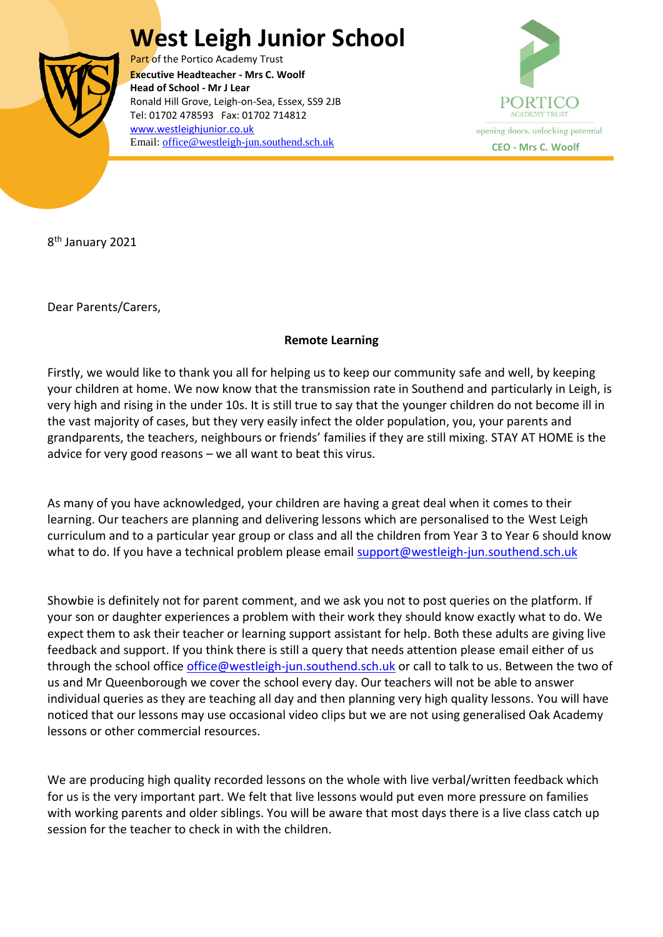## **West Leigh Junior School**



Part of the Portico Academy Trust  Ronald Hill Grove, Leigh-on-Sea, Essex, SS9 2JB **Executive Headteacher - Mrs C. Woolf Head of School - Mr J Lear** Tel: 01702 478593 Fax: 01702 714812 [www.westleighjunior.co.uk](http://www.westleighjunior.co.uk/) Email: **office@westleigh-jun.southend.sch.uk CEO** - **Mrs C. Woolf** 



8<sup>th</sup> January 2021

Dear Parents/Carers,

## **Remote Learning**

Firstly, we would like to thank you all for helping us to keep our community safe and well, by keeping your children at home. We now know that the transmission rate in Southend and particularly in Leigh, is very high and rising in the under 10s. It is still true to say that the younger children do not become ill in the vast majority of cases, but they very easily infect the older population, you, your parents and grandparents, the teachers, neighbours or friends' families if they are still mixing. STAY AT HOME is the advice for very good reasons – we all want to beat this virus.

As many of you have acknowledged, your children are having a great deal when it comes to their learning. Our teachers are planning and delivering lessons which are personalised to the West Leigh curriculum and to a particular year group or class and all the children from Year 3 to Year 6 should know what to do. If you have a technical problem please email [support@westleigh-jun.southend.sch.uk](mailto:support@westleigh-jun.southend.sch.uk)

Showbie is definitely not for parent comment, and we ask you not to post queries on the platform. If your son or daughter experiences a problem with their work they should know exactly what to do. We expect them to ask their teacher or learning support assistant for help. Both these adults are giving live feedback and support. If you think there is still a query that needs attention please email either of us through the school office [office@westleigh-jun.southend.sch.uk](mailto:office@westleigh-jun.southend.sch.uk) or call to talk to us. Between the two of us and Mr Queenborough we cover the school every day. Our teachers will not be able to answer individual queries as they are teaching all day and then planning very high quality lessons. You will have noticed that our lessons may use occasional video clips but we are not using generalised Oak Academy lessons or other commercial resources.

We are producing high quality recorded lessons on the whole with live verbal/written feedback which for us is the very important part. We felt that live lessons would put even more pressure on families with working parents and older siblings. You will be aware that most days there is a live class catch up session for the teacher to check in with the children.